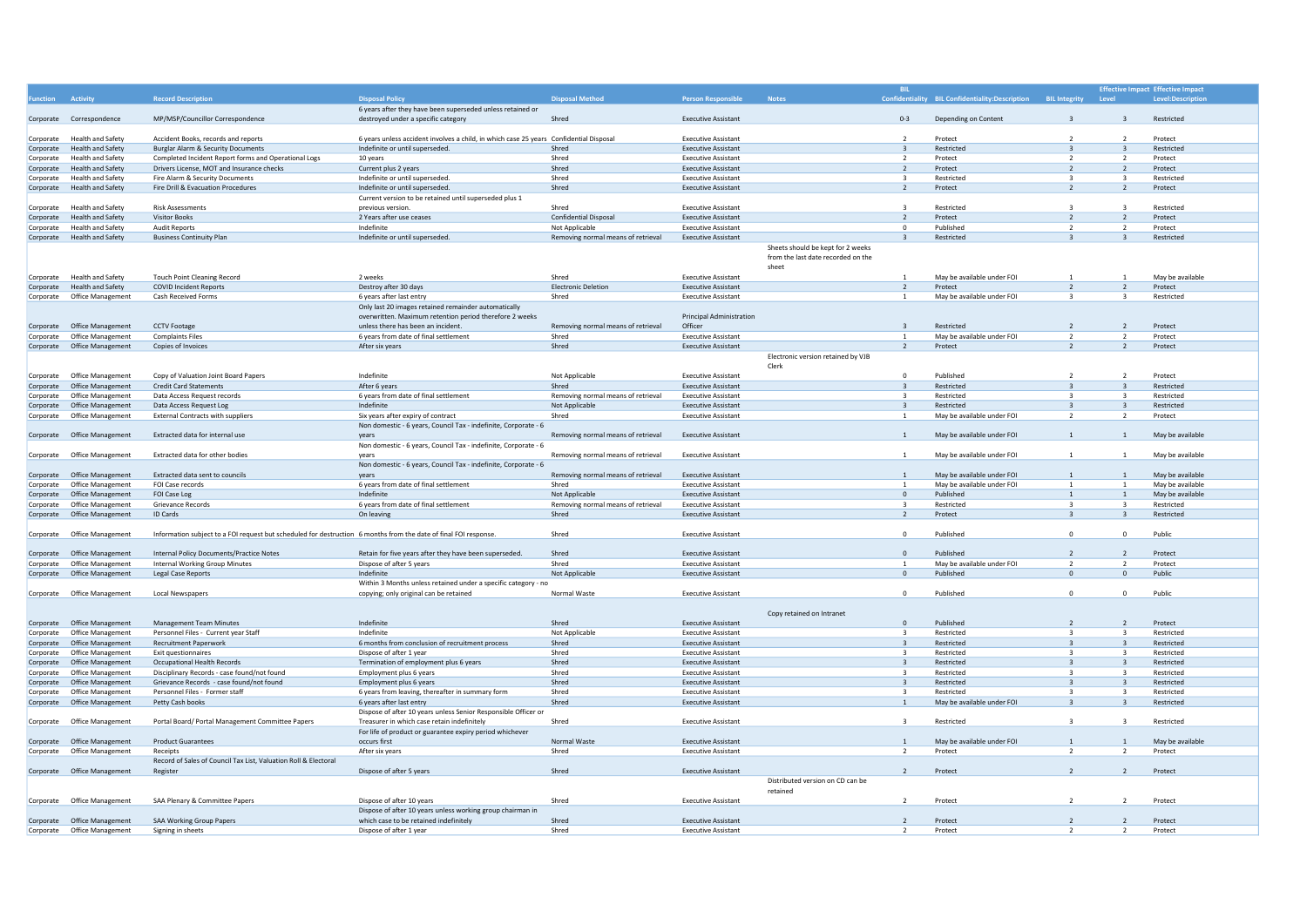|           |                             |                                                                                                                  |                                                                                        |                                    |                                 |                                    | <b>BIL</b>               |                                                 |                         |                          | <b>Effective Impact Effective Impact</b> |
|-----------|-----------------------------|------------------------------------------------------------------------------------------------------------------|----------------------------------------------------------------------------------------|------------------------------------|---------------------------------|------------------------------------|--------------------------|-------------------------------------------------|-------------------------|--------------------------|------------------------------------------|
|           | Activity                    | <b>Record Description</b>                                                                                        | <b>Disposal Policy</b>                                                                 | <b>Disposal Method</b>             | <b>Person Responsible</b>       | <b>Notes</b>                       |                          | Confidentiality BIL Confidentiality:Description | <b>BIL Integrity</b>    | Level                    | Level:Description                        |
|           |                             |                                                                                                                  | 6 years after they have been superseded unless retained or                             |                                    |                                 |                                    |                          |                                                 |                         |                          |                                          |
|           | Corporate Correspondence    | MP/MSP/Councillor Correspondence                                                                                 | destroyed under a specific category                                                    | Shred                              | <b>Executive Assistant</b>      |                                    | $0 - 3$                  | Depending on Content                            |                         |                          | Restricted                               |
|           |                             |                                                                                                                  |                                                                                        |                                    |                                 |                                    |                          |                                                 |                         |                          |                                          |
| Corporate | <b>Health and Safety</b>    | Accident Books, records and reports                                                                              | 6 years unless accident involves a child, in which case 25 years Confidential Disposal |                                    | <b>Executive Assistant</b>      |                                    | $\overline{z}$           | Protect                                         |                         |                          | Protect                                  |
|           | <b>Health and Safety</b>    | <b>Burglar Alarm &amp; Security Documents</b>                                                                    | Indefinite or until superseded.                                                        | Shred                              | <b>Executive Assistant</b>      |                                    | $\overline{3}$           | Restricted                                      |                         |                          | Restricted                               |
| Corporate | <b>Health and Safety</b>    | Completed Incident Report forms and Operational Logs                                                             | 10 years                                                                               | Shred                              | <b>Executive Assistant</b>      |                                    | $\overline{z}$           | Protect                                         | $\overline{z}$          | $\overline{z}$           | Protect                                  |
| Corporate |                             |                                                                                                                  |                                                                                        |                                    |                                 |                                    |                          |                                                 | $\overline{z}$          |                          |                                          |
| Corporate | <b>Health and Safety</b>    | Drivers License, MOT and Insurance checks                                                                        | Current plus 2 years                                                                   | Shred<br>Shred                     | <b>Executive Assistant</b>      |                                    | 2<br>$\overline{3}$      | Protect<br>Restricted                           |                         | $\overline{z}$           | Protect<br>Restricted                    |
| Corporate | <b>Health and Safety</b>    | Fire Alarm & Security Documents                                                                                  | Indefinite or until superseded.                                                        |                                    | <b>Executive Assistant</b>      |                                    |                          |                                                 | $\overline{3}$          | $\overline{3}$           |                                          |
| Corporate | <b>Health and Safety</b>    | Fire Drill & Evacuation Procedures                                                                               | Indefinite or until superseded.                                                        | Shred                              | <b>Executive Assistant</b>      |                                    | 2                        | Protect                                         | $\overline{2}$          |                          | Protect                                  |
|           |                             |                                                                                                                  | Current version to be retained until superseded plus 1                                 |                                    |                                 |                                    |                          |                                                 |                         |                          |                                          |
| Corporate | <b>Health and Safety</b>    | <b>Risk Assessments</b>                                                                                          | previous version                                                                       | Shred                              | <b>Executive Assistant</b>      |                                    | $\overline{3}$           | Restricted                                      |                         |                          | Restricted                               |
| Corporate | <b>Health and Safety</b>    | <b>Visitor Books</b>                                                                                             | 2 Years after use ceases                                                               | <b>Confidential Disposal</b>       | <b>Executive Assistant</b>      |                                    | 2                        | Protect                                         | $\overline{z}$          | $\overline{2}$           | Protect                                  |
| Corporate | <b>Health and Safety</b>    | <b>Audit Reports</b>                                                                                             | Indefinite                                                                             | Not Applicable                     | <b>Executive Assistant</b>      |                                    | $\Omega$                 | Publisher                                       | $\overline{z}$          | $\overline{z}$           | Protect                                  |
| Corporate | <b>Health and Safety</b>    | <b>Business Continuity Plan</b>                                                                                  | Indefinite or until superseded.                                                        | Removing normal means of retrieval | <b>Executive Assistant</b>      |                                    | $\overline{3}$           | Restricted                                      |                         |                          | Restricted                               |
|           |                             |                                                                                                                  |                                                                                        |                                    |                                 | Sheets should be kept for 2 weeks  |                          |                                                 |                         |                          |                                          |
|           |                             |                                                                                                                  |                                                                                        |                                    |                                 | from the last date recorded on the |                          |                                                 |                         |                          |                                          |
|           |                             |                                                                                                                  |                                                                                        |                                    |                                 | sheet                              |                          |                                                 |                         |                          |                                          |
|           | Corporate Health and Safety | <b>Touch Point Cleaning Record</b>                                                                               | 2 weeks                                                                                | Shred                              | <b>Executive Assistant</b>      |                                    | $\overline{1}$           | May be available under FOI                      |                         |                          | May be available                         |
| Corporate | <b>Health and Safety</b>    | <b>COVID Incident Reports</b>                                                                                    | Destroy after 30 days                                                                  | <b>Electronic Deletion</b>         | <b>Executive Assistant</b>      |                                    | $\overline{z}$           | Protect                                         | $\overline{z}$          | $\overline{z}$           | Protect                                  |
| Corporate | Office Management           | Cash Received Forms                                                                                              | 6 years after last entry                                                               | Shred                              | <b>Executive Assistant</b>      |                                    | $\mathbf{1}$             | May be available under FOI                      | $\overline{a}$          | $\overline{a}$           | Restricted                               |
|           |                             |                                                                                                                  | Only last 20 images retained remainder automatically                                   |                                    |                                 |                                    |                          |                                                 |                         |                          |                                          |
|           |                             |                                                                                                                  | overwritten. Maximum retention period therefore 2 weeks                                |                                    | <b>Principal Administration</b> |                                    |                          |                                                 |                         |                          |                                          |
| Corporate | Office Management           | <b>CCTV Footage</b>                                                                                              | unless there has been an incident.                                                     | Removing normal means of retrieval | Officer                         |                                    | $\overline{a}$           | Restricted                                      | $\overline{z}$          | $\overline{\phantom{a}}$ | Protect                                  |
| Corporate | Office Management           | <b>Complaints Files</b>                                                                                          | 6 years from date of final settlement                                                  | Shred                              | <b>Executive Assistant</b>      |                                    | $\overline{1}$           | May be available under FOI                      | $\overline{z}$          | $\overline{z}$           | Protect                                  |
|           | Corporate Office Management | Copies of Invoices                                                                                               | After six years                                                                        | Shred                              | <b>Executive Assistant</b>      |                                    | $\overline{\phantom{0}}$ | Protect                                         |                         |                          | Protect                                  |
|           |                             |                                                                                                                  |                                                                                        |                                    |                                 | Electronic version retained by VJB |                          |                                                 |                         |                          |                                          |
|           |                             |                                                                                                                  |                                                                                        |                                    |                                 | Clerk                              |                          |                                                 |                         |                          |                                          |
|           | Office Management           | Copy of Valuation Joint Board Papers                                                                             | Indefinite                                                                             | Not Applicable                     | <b>Executive Assistant</b>      |                                    | $\mathbf 0$              | Published                                       |                         | $\overline{z}$           | Protect                                  |
| Corporate |                             |                                                                                                                  |                                                                                        |                                    |                                 |                                    |                          |                                                 |                         | $\overline{3}$           |                                          |
| Corporate | Office Management           | <b>Credit Card Statements</b>                                                                                    | After 6 years                                                                          | Shred                              | <b>Executive Assistant</b>      |                                    | $\overline{\mathbf{3}}$  | Restricted                                      |                         |                          | Restricted                               |
| Corporate | Office Management           | Data Access Request records                                                                                      | 6 years from date of final settlement                                                  | Removing normal means of retrieval | <b>Executive Assistant</b>      |                                    | 3                        | Restricted                                      |                         | $\overline{\mathbf{3}}$  | Restricted                               |
| Corporate | Office Management           | Data Access Request Log                                                                                          | Indefinite                                                                             | Not Applicable                     | <b>Executive Assistant</b>      |                                    | $\overline{\mathbf{3}}$  | Restricted                                      | $\overline{z}$          | $\overline{\mathbf{3}}$  | Restricted                               |
| Corporate | Office Management           | <b>External Contracts with suppliers</b>                                                                         | Six years after expiry of contract                                                     | Shred                              | <b>Executive Assistant</b>      |                                    | -1                       | May be available under FOI                      | $\overline{z}$          | $\overline{2}$           | Protect                                  |
|           |                             |                                                                                                                  | Non domestic - 6 years, Council Tax - indefinite, Corporate - 6                        |                                    |                                 |                                    |                          |                                                 |                         |                          |                                          |
|           | Corporate Office Management | Extracted data for internal use                                                                                  | vears                                                                                  | Removing normal means of retrieval | <b>Executive Assistant</b>      |                                    | $\mathbf{1}$             | May be available under FOI                      | $\overline{1}$          | $\overline{1}$           | May be available                         |
|           |                             |                                                                                                                  | Non domestic - 6 years, Council Tax - indefinite, Corporate - 6                        |                                    |                                 |                                    |                          |                                                 |                         |                          |                                          |
|           | Corporate Office Management | Extracted data for other bodies                                                                                  | vears                                                                                  | Removing normal means of retrieval | <b>Executive Assistant</b>      |                                    | $\overline{1}$           | May be available under FOI                      |                         | $\overline{1}$           | May be available                         |
|           |                             |                                                                                                                  | Non domestic - 6 years, Council Tax - indefinite, Corporate - 6                        |                                    |                                 |                                    |                          |                                                 |                         |                          |                                          |
| Corporate | Office Management           | Extracted data sent to councils                                                                                  | vears                                                                                  | Removing normal means of retrieval | <b>Executive Assistant</b>      |                                    |                          | May be available under FOI                      |                         |                          | May be available                         |
| Corporate | Office Management           | <b>FOI Case records</b>                                                                                          | 6 years from date of final settlement                                                  | Shred                              | <b>Executive Assistant</b>      |                                    | $\mathbf{1}$             | May be available under FOI                      | $\overline{1}$          |                          | May be available                         |
| Corporate | Office Management           | <b>FOI Case Log</b>                                                                                              | Indefinite                                                                             | Not Applicable                     | <b>Executive Assistant</b>      |                                    | $\Omega$                 | Published                                       |                         |                          | May be available                         |
| Corporate | Office Management           | <b>Grievance Records</b>                                                                                         | 6 years from date of final settlement                                                  | Removing normal means of retrieval | <b>Executive Assistant</b>      |                                    | $\overline{z}$           | Restricted                                      | $\mathbf{R}$            |                          | Restricted                               |
| Corporate | Office Management           | <b>ID Cards</b>                                                                                                  | On leaving                                                                             | Shred                              | <b>Executive Assistant</b>      |                                    | $\overline{z}$           | Protect                                         |                         |                          | Restricted                               |
|           |                             |                                                                                                                  |                                                                                        |                                    |                                 |                                    |                          |                                                 |                         |                          |                                          |
| Corporate | Office Management           | Information subject to a FOI request but scheduled for destruction 6 months from the date of final FOI response. |                                                                                        | Shred                              | <b>Executive Assistant</b>      |                                    | $^{\circ}$               | Published                                       | $\Omega$                | $\Omega$                 | Public                                   |
|           |                             |                                                                                                                  |                                                                                        |                                    |                                 |                                    |                          |                                                 |                         |                          |                                          |
| Corporate | Office Management           | <b>Internal Policy Documents/Practice Notes</b>                                                                  | Retain for five years after they have been superseded.                                 | Shred                              | <b>Executive Assistant</b>      |                                    | $\circ$                  | Published                                       | $\overline{z}$          | $\overline{z}$           | Protect                                  |
| Corporate | Office Management           | <b>Internal Working Group Minutes</b>                                                                            | Dispose of after 5 years                                                               | Shred                              | <b>Executive Assistant</b>      |                                    | $\mathbf{1}$             | May be available under FOI                      | $\overline{z}$          | $\overline{2}$           | Protect                                  |
| Corporate | Office Management           | <b>Legal Case Reports</b>                                                                                        | Indefinite                                                                             | Not Applicable                     | <b>Executive Assistant</b>      |                                    | $\mathbf{0}$             | Published                                       | $\Omega$                | $\overline{0}$           | Public                                   |
|           |                             |                                                                                                                  |                                                                                        |                                    |                                 |                                    |                          |                                                 |                         |                          |                                          |
|           |                             |                                                                                                                  | Within 3 Months unless retained under a specific category - no                         | Normal Waste                       | <b>Executive Assistant</b>      |                                    | $\Omega$                 | Published                                       | $\Omega$                | $\Omega$                 | Public                                   |
|           | Corporate Office Management | Local Newspapers                                                                                                 | copying; only original can be retained                                                 |                                    |                                 |                                    |                          |                                                 |                         |                          |                                          |
|           |                             |                                                                                                                  |                                                                                        |                                    |                                 |                                    |                          |                                                 |                         |                          |                                          |
|           |                             |                                                                                                                  |                                                                                        |                                    |                                 | Copy retained on Intranet          |                          |                                                 |                         |                          |                                          |
| Corporate | Office Management           | <b>Management Team Minutes</b>                                                                                   | Indefinite                                                                             | Shred                              | <b>Executive Assistant</b>      |                                    | $\Omega$                 | Published                                       |                         | $\overline{z}$           | Protect                                  |
| Corporate | Office Management           | Personnel Files - Current year Staff                                                                             | Indefinite                                                                             | Not Applicable                     | <b>Executive Assistant</b>      |                                    | $\overline{\mathbf{3}}$  | Restricted                                      |                         |                          | Restricted                               |
| Corporate | Office Management           | <b>Recruitment Paperwork</b>                                                                                     | 6 months from conclusion of recruitment process                                        | Shred                              | <b>Executive Assistant</b>      |                                    | $\overline{3}$           | Restricted                                      |                         |                          | Restricted                               |
| Corporate | Office Management           | Exit questionnaires                                                                                              | Dispose of after 1 year                                                                | Shred                              | <b>Executive Assistant</b>      |                                    | $\overline{3}$           | Restricted                                      | $\overline{a}$          | $\rightarrow$            | Restricted                               |
| Corporate | Office Management           | Occupational Health Records                                                                                      | Termination of employment plus 6 years                                                 | Shred                              | <b>Executive Assistant</b>      |                                    | $\overline{3}$           | Restricted                                      |                         |                          | Restricted                               |
| Corporate | Office Management           | Disciplinary Records - case found/not found                                                                      | Employment plus 6 years                                                                | Shred                              | <b>Executive Assistant</b>      |                                    | $\overline{z}$           | Restricted                                      | $\rightarrow$           | $\rightarrow$            | Restricted                               |
| Corporate | Office Management           | Grievance Records - case found/not found                                                                         | Employment plus 6 years                                                                | Shred                              | <b>Executive Assistant</b>      |                                    | $\overline{3}$           | Restricted                                      |                         |                          | Restricted                               |
| Corporate | Office Management           | Personnel Files - Former staff                                                                                   | 6 years from leaving, thereafter in summary form                                       | Shred                              | <b>Executive Assistant</b>      |                                    | $\overline{3}$           | Restricted                                      | $\mathbf{R}$            | $\mathbf{R}$             | Restricted                               |
| Corporate | <b>Office Management</b>    | Petty Cash books                                                                                                 | 6 years after last entry                                                               | Shred                              | <b>Executive Assistant</b>      |                                    | $\mathbf{1}$             | May be available under FOI                      | $\overline{3}$          | $\overline{3}$           | Restricted                               |
|           |                             |                                                                                                                  | Dispose of after 10 years unless Senior Responsible Officer or                         |                                    |                                 |                                    |                          |                                                 |                         |                          |                                          |
|           | Corporate Office Management | Portal Board/ Portal Management Committee Papers                                                                 | Treasurer in which case retain indefinitely                                            | Shred                              | <b>Executive Assistant</b>      |                                    | $\overline{\mathbf{3}}$  | Restricted                                      | $\overline{\mathbf{3}}$ | $\overline{\mathbf{3}}$  | Restricted                               |
|           |                             |                                                                                                                  | For life of product or guarantee expiry period whichever                               |                                    |                                 |                                    |                          |                                                 |                         |                          |                                          |
|           | Corporate Office Management | <b>Product Guarantees</b>                                                                                        | occurs first                                                                           | Normal Waste                       | <b>Executive Assistant</b>      |                                    | $\mathbf{1}$             | May be available under FOI                      |                         |                          | May be available                         |
| Corporate | Office Management           | Receipts                                                                                                         | After six years                                                                        | Shred                              | <b>Executive Assistant</b>      |                                    | 2                        | Protect                                         | $\overline{z}$          | $\overline{2}$           | Protect                                  |
|           |                             | Record of Sales of Council Tax List, Valuation Roll & Electoral                                                  |                                                                                        |                                    |                                 |                                    |                          |                                                 |                         |                          |                                          |
|           |                             |                                                                                                                  | Dispose of after 5 years                                                               | Shred                              | <b>Executive Assistant</b>      |                                    | $\overline{2}$           | Protect                                         | $\overline{z}$          | $\overline{z}$           | Protect                                  |
|           | Corporate Office Management | Register                                                                                                         |                                                                                        |                                    |                                 |                                    |                          |                                                 |                         |                          |                                          |
|           |                             |                                                                                                                  |                                                                                        |                                    |                                 | Distributed version on CD can be   |                          |                                                 |                         |                          |                                          |
|           |                             |                                                                                                                  |                                                                                        |                                    |                                 | retained                           |                          |                                                 |                         |                          |                                          |
| Corporate | Office Management           | SAA Plenary & Committee Papers                                                                                   | Dispose of after 10 years                                                              | Shred                              | <b>Executive Assistant</b>      |                                    | $\overline{z}$           | Protect                                         |                         | $\overline{z}$           | Protect                                  |
|           |                             |                                                                                                                  | Dispose of after 10 years unless working group chairman in                             |                                    |                                 |                                    |                          |                                                 |                         |                          |                                          |
|           | Corporate Office Management | <b>SAA Working Group Papers</b>                                                                                  | which case to be retained indefinitely                                                 | Shred                              | <b>Executive Assistant</b>      |                                    | $\overline{2}$           | Protect                                         |                         |                          | Protect                                  |
|           | Corporate Office Management | Signing in sheets                                                                                                | Dispose of after 1 year                                                                | Shred                              | <b>Executive Assistant</b>      |                                    | $\overline{2}$           | Protect                                         | $\overline{z}$          | $\overline{z}$           | Protect                                  |
|           |                             |                                                                                                                  |                                                                                        |                                    |                                 |                                    |                          |                                                 |                         |                          |                                          |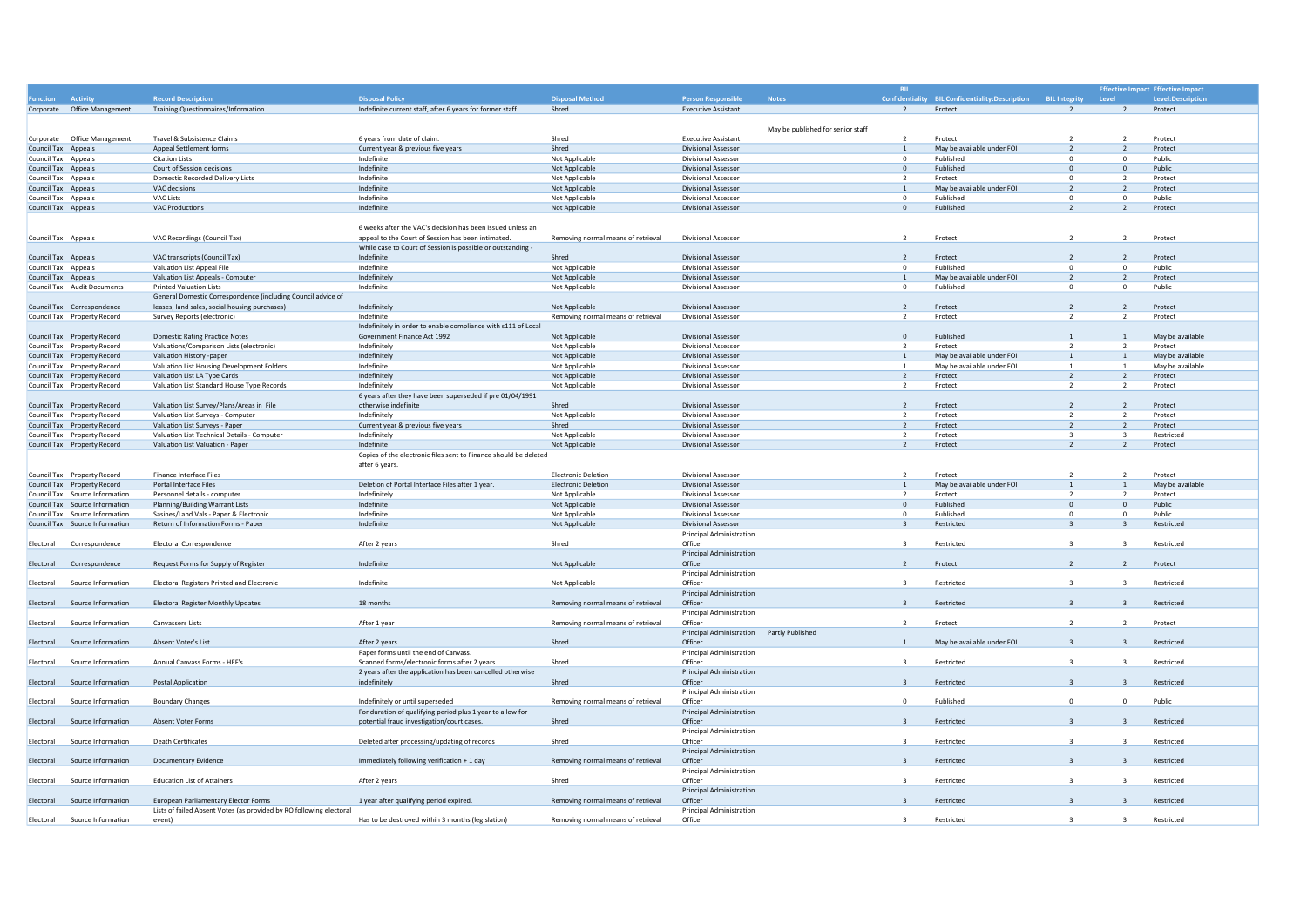|                                                            |                                                                                                             |                                                                  |                                    |                                                          |                                   | <b>BIL</b>                       |                                      |                               |                                | <b>Effective Impact Effective Impact</b> |
|------------------------------------------------------------|-------------------------------------------------------------------------------------------------------------|------------------------------------------------------------------|------------------------------------|----------------------------------------------------------|-----------------------------------|----------------------------------|--------------------------------------|-------------------------------|--------------------------------|------------------------------------------|
| Activity<br><b>inction</b>                                 | <b>Record Description</b>                                                                                   | <b>Disposal Policy</b>                                           | <b>Disposal Method</b>             | <b>Person Responsible</b>                                | <b>Notes</b>                      | Confident                        | lity BIL Confidentiality:Description | <b>BIL Integrity</b><br>Level |                                | <b>Level:Description</b>                 |
| Corporate Office Management                                | <b>Training Questionnaires/Information</b>                                                                  | Indefinite current staff, after 6 years for former staff         | Shred                              | <b>Executive Assistant</b>                               |                                   | $\overline{2}$                   | Protect                              | $\overline{2}$                | $\overline{2}$                 | Protect                                  |
|                                                            |                                                                                                             |                                                                  |                                    |                                                          |                                   |                                  |                                      |                               |                                |                                          |
|                                                            |                                                                                                             |                                                                  |                                    |                                                          | May be published for senior staff |                                  |                                      |                               |                                |                                          |
| Office Management<br>Corporate                             | Travel & Subsistence Claims                                                                                 | 6 years from date of claim.                                      | Shred                              | <b>Executive Assistant</b>                               |                                   | $\overline{2}$                   | Protect                              |                               | $\overline{z}$                 | Protect                                  |
| Council Tax Appeals                                        | Appeal Settlement forms                                                                                     | Current year & previous five years                               | Shred                              | <b>Divisional Assessor</b>                               |                                   | $\mathbf{1}$                     | May be available under FOI           | $\overline{z}$                | $\overline{2}$                 | Protect                                  |
| Council Tax Appeals                                        | <b>Citation Lists</b><br>Court of Session decisions                                                         | Indefinite<br>Indefinite                                         | Not Applicable                     | <b>Divisional Assessor</b><br><b>Divisional Assessor</b> |                                   | $\overline{0}$<br>$\overline{0}$ | Published<br>Published               | $^{\circ}$<br>$\mathbf{0}$    | $^{\circ}$<br>$\mathbf{0}$     | Public<br>Public                         |
| Council Tax Appeals<br>Council Tax Appeals                 | Domestic Recorded Delivery Lists                                                                            | Indefinite                                                       | Not Applicable<br>Not Applicable   | <b>Divisional Assessor</b>                               |                                   | $\overline{2}$                   | Protect                              | $^{\circ}$                    | $\overline{2}$                 | Protect                                  |
| Council Tax Appeals                                        | VAC decisions                                                                                               | Indefinite                                                       | Not Applicable                     | <b>Divisional Assessor</b>                               |                                   | <sup>1</sup>                     | May be available under FOI           | $\overline{\phantom{0}}$      | $\overline{2}$                 | Protect                                  |
| Council Tax Appeals                                        | VAC Lists                                                                                                   | Indefinite                                                       | Not Applicable                     | <b>Divisional Assessor</b>                               |                                   | $\overline{0}$                   | Published                            | $\Omega$                      | $^{\circ}$                     | Public                                   |
| Council Tax Appeals                                        | <b>VAC Productions</b>                                                                                      | Indefinite                                                       | Not Applicable                     | <b>Divisional Assessor</b>                               |                                   | $\overline{0}$                   | Published                            | $\overline{2}$                | $\overline{2}$                 | Protect                                  |
|                                                            |                                                                                                             |                                                                  |                                    |                                                          |                                   |                                  |                                      |                               |                                |                                          |
|                                                            |                                                                                                             | 6 weeks after the VAC's decision has been issued unless an       |                                    |                                                          |                                   |                                  |                                      |                               |                                |                                          |
| Council Tax Appeals                                        | VAC Recordings (Council Tax)                                                                                | appeal to the Court of Session has been intimated.               | Removing normal means of retrieval | <b>Divisional Assessor</b>                               |                                   | $\overline{2}$                   | Protect                              | $\overline{z}$                | $\overline{2}$                 | Protect                                  |
|                                                            |                                                                                                             | While case to Court of Session is possible or outstanding -      |                                    |                                                          |                                   |                                  |                                      |                               |                                |                                          |
| <b>Council Tax Appeals</b>                                 | VAC transcripts (Council Tax)                                                                               | Indefinite                                                       | Shred                              | <b>Divisional Assessor</b>                               |                                   | $\overline{2}$                   | Protect                              | $\overline{2}$                | $\overline{2}$                 | Protect                                  |
| Council Tax Appeals                                        | Valuation List Appeal File                                                                                  | Indefinite                                                       | Not Applicable                     | <b>Divisional Assessor</b>                               |                                   | $\overline{0}$                   | Published                            | $\Omega$                      | $\mathbf 0$                    | Public                                   |
| <b>Council Tax Appeals</b>                                 | Valuation List Appeals - Computer                                                                           | Indefinitely                                                     | Not Applicable                     | <b>Divisional Assessor</b>                               |                                   | $\mathbf{1}$                     | May be available under FOI           | $\overline{2}$                | $\overline{2}$                 | Protect                                  |
| Council Tax Audit Documents                                | <b>Printed Valuation Lists</b>                                                                              | Indefinite                                                       | Not Applicable                     | Divisional Assessor                                      |                                   | $\overline{0}$                   | Published                            | $\Omega$                      | $^{\circ}$                     | Public                                   |
|                                                            | General Domestic Correspondence (including Council advice of                                                |                                                                  |                                    |                                                          |                                   |                                  |                                      |                               |                                |                                          |
| Council Tax Correspondence                                 | leases, land sales, social housing purchases)                                                               | Indefinitely                                                     | Not Applicable                     | <b>Divisional Assessor</b>                               |                                   | $\overline{2}$                   | Protect                              | $\overline{z}$                | $\overline{2}$                 | Protect                                  |
| Council Tax Property Record                                | Survey Reports (electronic)                                                                                 | Indefinite                                                       | Removing normal means of retrieval | <b>Divisional Assessor</b>                               |                                   | $\overline{2}$                   | Protect                              | $\overline{z}$                | $\overline{2}$                 | Protect                                  |
|                                                            |                                                                                                             | Indefinitely in order to enable compliance with s111 of Local    |                                    | Divisional Assessor                                      |                                   | $\Omega$                         | Published                            | $\overline{1}$                |                                |                                          |
| Council Tax Property Record<br>Council Tax Property Record | <b>Domestic Rating Practice Notes</b><br>Valuations/Comparison Lists (electronic)                           | Government Finance Act 1992<br>Indefinitely                      | Not Applicable                     | <b>Divisional Assessor</b>                               |                                   | $\overline{2}$                   | Protect                              | $\overline{2}$                | $\mathbf{1}$<br>$\overline{2}$ | May be available<br>Protect              |
| Council Tax Property Record                                | Valuation History -paper                                                                                    | Indefinitely                                                     | Not Applicable<br>Not Applicable   | <b>Divisional Assessor</b>                               |                                   | 1                                | May be available under FOI           | $\mathbf{1}$                  | $\mathbf{1}$                   | May be available                         |
| Council Tax Property Record                                | Valuation List Housing Development Folders                                                                  | Indefinite                                                       | Not Applicable                     | <b>Divisional Assessor</b>                               |                                   | <sup>1</sup>                     | May be available under FOI           | <sup>1</sup>                  | 1                              | May be available                         |
| Council Tax Property Record                                | Valuation List LA Type Cards                                                                                | Indefinitely                                                     | Not Applicable                     | <b>Divisional Assessor</b>                               |                                   | $\overline{2}$                   | Protect                              | 2                             | $\overline{2}$                 | Protect                                  |
| Council Tax Property Record                                | Valuation List Standard House Type Records                                                                  | Indefinitely                                                     | Not Applicable                     | <b>Divisional Assessor</b>                               |                                   | $\overline{2}$                   | Protect                              | $\overline{2}$                | $\overline{2}$                 | Protect                                  |
|                                                            |                                                                                                             | 6 years after they have been superseded if pre 01/04/1991        |                                    |                                                          |                                   |                                  |                                      |                               |                                |                                          |
| Council Tax Property Record                                | Valuation List Survey/Plans/Areas in File                                                                   | otherwise indefinite                                             | Shred                              | <b>Divisional Assessor</b>                               |                                   | $\overline{2}$                   | Protect                              | $\overline{z}$                | $\overline{2}$                 | Protect                                  |
| Council Tax Property Record                                | Valuation List Surveys - Computer                                                                           | Indefinitely                                                     | Not Applicable                     | Divisional Assessor                                      |                                   | $\overline{\phantom{a}}$         | Protect                              | $\overline{2}$                | $\overline{2}$                 | Protect                                  |
| Council Tax Property Record                                | Valuation List Surveys - Paper                                                                              | Current year & previous five years                               | Shred                              | <b>Divisional Assessor</b>                               |                                   | $\overline{2}$                   | Protect                              | $\overline{\phantom{0}}$      | 2                              | Protect                                  |
| Council Tax Property Record                                | Valuation List Technical Details - Computer                                                                 | Indefinitely                                                     | Not Applicable                     | Divisional Assessor                                      |                                   | $\overline{\phantom{a}}$         | Protect                              | $\mathbf{3}$                  | $\overline{\mathbf{3}}$        | Restricted                               |
| Council Tax Property Record                                | Valuation List Valuation - Paper                                                                            | Indefinite                                                       | Not Applicable                     | <b>Divisional Assessor</b>                               |                                   | $\overline{z}$                   | Protect                              | $\overline{z}$                | $\overline{z}$                 | Protect                                  |
|                                                            |                                                                                                             |                                                                  |                                    |                                                          |                                   |                                  |                                      |                               |                                |                                          |
|                                                            |                                                                                                             | Copies of the electronic files sent to Finance should be deleted |                                    |                                                          |                                   |                                  |                                      |                               |                                |                                          |
|                                                            |                                                                                                             | after 6 years                                                    |                                    |                                                          |                                   |                                  |                                      |                               |                                |                                          |
| Council Tax Property Record                                | Finance Interface Files                                                                                     |                                                                  | <b>Electronic Deletion</b>         | <b>Divisional Assessor</b>                               |                                   | $\overline{2}$                   | Protect                              | $\overline{z}$                | $\overline{z}$                 | Protect                                  |
| Council Tax Property Record                                | Portal Interface Files                                                                                      | Deletion of Portal Interface Files after 1 year.                 | <b>Electronic Deletion</b>         | <b>Divisional Assessor</b>                               |                                   | $\mathbf{1}$                     | May be available under FOI           |                               | $\mathbf{1}$                   | May be available                         |
| Council Tax Source Information                             | Personnel details - computer                                                                                | Indefinitely                                                     | Not Applicable                     | <b>Divisional Assessor</b>                               |                                   | $\overline{2}$                   | Protect                              | $\overline{2}$                | $\overline{2}$                 | Protect                                  |
| Council Tax Source Information                             | Planning/Building Warrant Lists                                                                             | Indefinite                                                       | Not Applicable                     | <b>Divisional Assessor</b>                               |                                   | $\circ$                          | Published                            | $\mathbf{0}$                  | $\mathbf{0}$                   | Public                                   |
| Council Tax Source Information                             | Sasines/Land Vals - Paper & Electronic                                                                      | Indefinite                                                       | Not Applicable                     | <b>Divisional Assessor</b>                               |                                   | $\circ$                          | Published                            | $\mathbf 0$                   | $\mathbf 0$                    | Public                                   |
| Council Tax Source Information                             | Return of Information Forms - Paper                                                                         | Indefinite                                                       | Not Applicable                     | <b>Divisional Assessor</b>                               |                                   | $\overline{\mathbf{3}}$          | Restricted                           | $\overline{3}$                | $\overline{\mathbf{3}}$        | Restricted                               |
|                                                            |                                                                                                             |                                                                  |                                    | Principal Administration                                 |                                   |                                  |                                      |                               |                                |                                          |
| Correspondence<br>Electoral                                | <b>Electoral Correspondence</b>                                                                             | After 2 years                                                    | Shred                              | Officer                                                  |                                   | $\overline{3}$                   | Restricted                           | $\overline{3}$                | $\overline{\mathbf{3}}$        | Restricted                               |
|                                                            |                                                                                                             |                                                                  |                                    | <b>Principal Administration</b>                          |                                   |                                  |                                      |                               |                                |                                          |
| Correspondence<br>Electoral                                | Request Forms for Supply of Register                                                                        | Indefinite                                                       | Not Applicable                     | Officer                                                  |                                   | $\overline{z}$                   | Protect                              |                               | $\overline{z}$                 | Protect                                  |
|                                                            |                                                                                                             |                                                                  |                                    | <b>Principal Administration</b>                          |                                   |                                  |                                      |                               |                                |                                          |
| Source Information<br>Electoral                            | Electoral Registers Printed and Electronic                                                                  | Indefinite                                                       | Not Applicable                     | Officer                                                  |                                   | $\overline{3}$                   | Restricted                           | $\overline{3}$                | $\overline{\mathbf{3}}$        | Restricted                               |
| Electoral                                                  |                                                                                                             |                                                                  |                                    | <b>Principal Administration</b>                          |                                   | $\overline{3}$                   |                                      |                               | $\overline{3}$                 |                                          |
| Source Information                                         | <b>Electoral Register Monthly Updates</b>                                                                   | 18 months                                                        | Removing normal means of retrieval | Officer<br><b>Principal Administration</b>               |                                   |                                  | Restricted                           |                               |                                | Restricted                               |
| Source Information<br>Electoral                            | Canvassers Lists                                                                                            | After 1 year                                                     | Removing normal means of retrieval | Officer                                                  |                                   | $\overline{2}$                   | Protect                              | $\overline{z}$                | $\overline{2}$                 | Protect                                  |
|                                                            |                                                                                                             |                                                                  |                                    | Principal Administration Partly Published                |                                   |                                  |                                      |                               |                                |                                          |
| Electoral<br>Source Information                            | Absent Voter's List                                                                                         | After 2 years                                                    | Shred                              | Officer                                                  |                                   | $\overline{1}$                   | May be available under FOI           | $\overline{z}$                | $\overline{3}$                 | Restricted                               |
|                                                            |                                                                                                             | Paper forms until the end of Canvass                             |                                    | <b>Principal Administration</b>                          |                                   |                                  |                                      |                               |                                |                                          |
| Electoral<br>Source Information                            | Annual Canvass Forms - HEF's                                                                                | Scanned forms/electronic forms after 2 years                     | Shred                              | Officer                                                  |                                   | $\overline{3}$                   | Restricted                           | $\overline{\mathbf{z}}$       | $\overline{3}$                 | Restricted                               |
|                                                            |                                                                                                             | 2 years after the application has been cancelled otherwise       |                                    | <b>Principal Administration</b>                          |                                   |                                  |                                      |                               |                                |                                          |
| Electoral<br>Source Information                            | <b>Postal Application</b>                                                                                   | indefinitely                                                     | Shred                              | Officer                                                  |                                   | $\overline{z}$                   | Restricted                           |                               |                                | Restricted                               |
|                                                            |                                                                                                             |                                                                  |                                    | <b>Principal Administration</b>                          |                                   |                                  |                                      |                               |                                |                                          |
| Electoral<br>Source Information                            | <b>Boundary Changes</b>                                                                                     | Indefinitely or until superseded                                 | Removing normal means of retrieval | Officer                                                  |                                   | $\Omega$                         | Published                            | $\Omega$                      | $\Omega$                       | Public                                   |
|                                                            |                                                                                                             | For duration of qualifying period plus 1 year to allow for       |                                    | <b>Principal Administration</b>                          |                                   |                                  |                                      |                               |                                |                                          |
| Electoral<br>Source Information                            | <b>Absent Voter Forms</b>                                                                                   | potential fraud investigation/court cases.                       | Shred                              | Officer                                                  |                                   | $\overline{z}$                   | Restricted                           |                               |                                | Restricted                               |
|                                                            |                                                                                                             |                                                                  |                                    | <b>Principal Administration</b>                          |                                   |                                  |                                      |                               |                                |                                          |
| Source Information<br>Electoral                            | <b>Death Certificates</b>                                                                                   | Deleted after processing/updating of records                     | Shred                              | Officer                                                  |                                   | $\mathbf{R}$                     | Restricted                           | $\overline{\mathbf{z}}$       | $\overline{\mathbf{z}}$        | Restricted                               |
|                                                            |                                                                                                             |                                                                  |                                    | Principal Administration                                 |                                   |                                  |                                      |                               |                                |                                          |
| Source Information<br>Electoral                            | Documentary Evidence                                                                                        | Immediately following verification + 1 day                       | Removing normal means of retrieval | Officer                                                  |                                   | $\overline{3}$                   | Restricted                           |                               |                                | Restricted                               |
|                                                            |                                                                                                             |                                                                  |                                    | <b>Principal Administration</b>                          |                                   |                                  |                                      |                               |                                |                                          |
| Source Information<br>Electoral                            | <b>Education List of Attainers</b>                                                                          | After 2 years                                                    | Shred                              | Officer                                                  |                                   | $\overline{3}$                   | Restricted                           | $\overline{3}$                | $\overline{\mathbf{3}}$        | Restricted                               |
| Source Information                                         |                                                                                                             |                                                                  |                                    | <b>Principal Administration</b><br>Officer               |                                   | $\overline{3}$                   | Restricted                           |                               |                                | Restricted                               |
| Electoral                                                  | European Parliamentary Elector Forms<br>Lists of failed Absent Votes (as provided by RO following electoral | 1 year after qualifying period expired.                          | Removing normal means of retrieval | <b>Principal Administration</b>                          |                                   |                                  |                                      |                               |                                |                                          |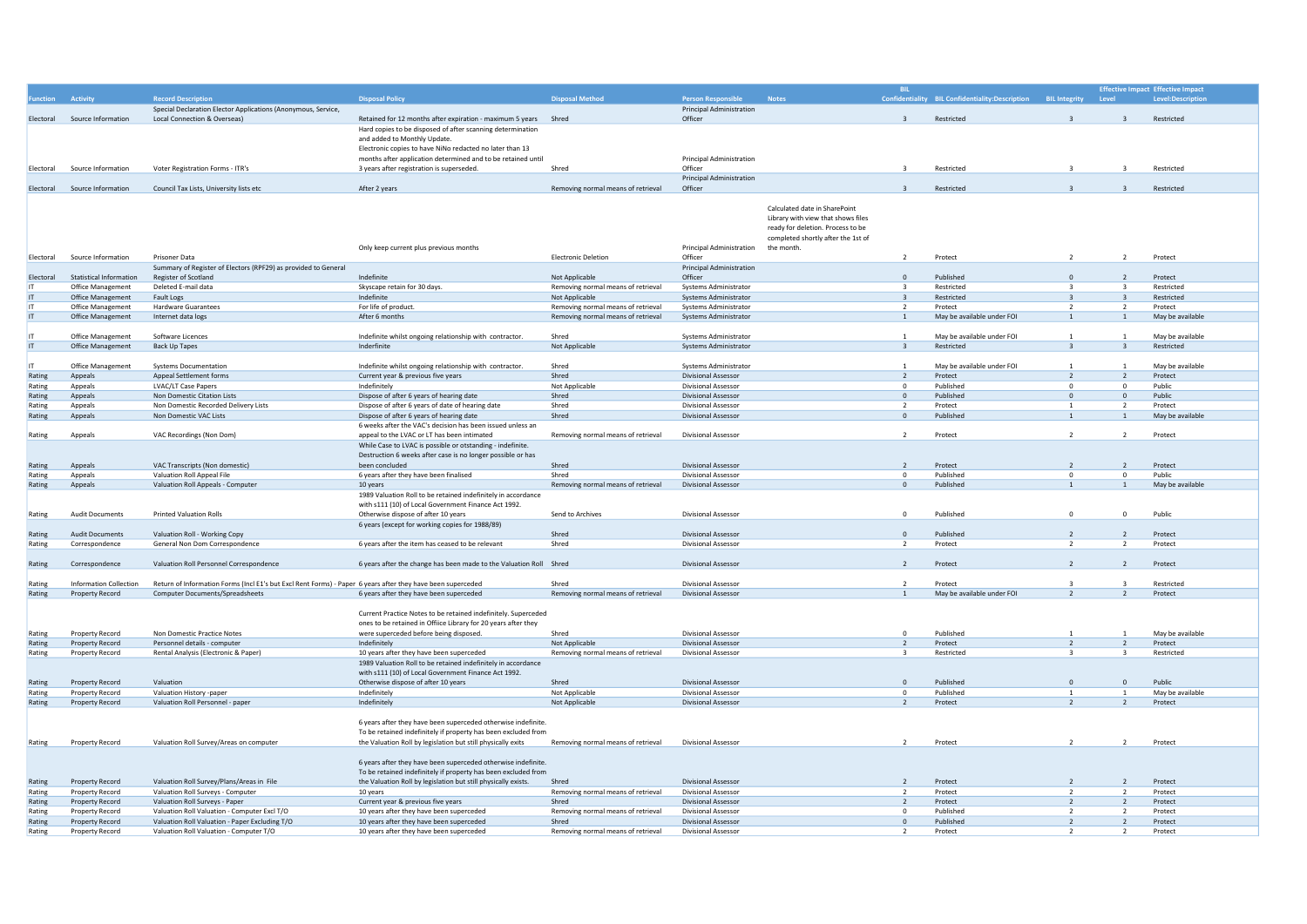|           |                                |                                                                                                             |                                                                    |                                    |                                 |                                    |                          |                                                 |                          |                          | <b>Effective Impact Effective Impact</b> |
|-----------|--------------------------------|-------------------------------------------------------------------------------------------------------------|--------------------------------------------------------------------|------------------------------------|---------------------------------|------------------------------------|--------------------------|-------------------------------------------------|--------------------------|--------------------------|------------------------------------------|
|           |                                |                                                                                                             |                                                                    |                                    |                                 |                                    |                          |                                                 |                          |                          |                                          |
|           | Activity                       | <b>Record Description</b>                                                                                   | <b>Disposal Policy</b>                                             | <b>Disposal Method</b>             | <b>Person Responsible</b>       | <b>Notes</b>                       |                          | Confidentiality BIL Confidentiality:Description | <b>BIL Integrity</b>     | Level                    | Level:Description                        |
|           |                                | Special Declaration Elector Applications (Anonymous, Service,                                               |                                                                    |                                    | <b>Principal Administration</b> |                                    |                          |                                                 |                          |                          |                                          |
| Electoral | Source Information             | Local Connection & Overseas)                                                                                | Retained for 12 months after expiration - maximum 5 years Shred    |                                    | Officer                         |                                    | $\overline{\mathbf{3}}$  | Restricted                                      |                          |                          | Restricted                               |
|           |                                |                                                                                                             | Hard copies to be disposed of after scanning determination         |                                    |                                 |                                    |                          |                                                 |                          |                          |                                          |
|           |                                |                                                                                                             | and added to Monthly Undate.                                       |                                    |                                 |                                    |                          |                                                 |                          |                          |                                          |
|           |                                |                                                                                                             |                                                                    |                                    |                                 |                                    |                          |                                                 |                          |                          |                                          |
|           |                                |                                                                                                             | Electronic copies to have NiNo redacted no later than 13           |                                    |                                 |                                    |                          |                                                 |                          |                          |                                          |
|           |                                |                                                                                                             | months after application determined and to be retained until       |                                    | Principal Administration        |                                    |                          |                                                 |                          |                          |                                          |
| Electoral | Source Information             | Voter Registration Forms - ITR's                                                                            | 3 years after registration is superseded.                          | Shred                              | Officer                         |                                    | $\overline{3}$           | Restricted                                      |                          |                          | Restricted                               |
|           |                                |                                                                                                             |                                                                    |                                    | <b>Principal Administration</b> |                                    |                          |                                                 |                          |                          |                                          |
| Electoral | Source Information             | Council Tax Lists, University lists etc                                                                     | After 2 years                                                      | Removing normal means of retrieval | Officer                         |                                    | $\overline{\mathbf{3}}$  | Restricted                                      | $\overline{\mathbf{3}}$  |                          | Restricted                               |
|           |                                |                                                                                                             |                                                                    |                                    |                                 |                                    |                          |                                                 |                          |                          |                                          |
|           |                                |                                                                                                             |                                                                    |                                    |                                 |                                    |                          |                                                 |                          |                          |                                          |
|           |                                |                                                                                                             |                                                                    |                                    |                                 | Calculated date in SharePoint      |                          |                                                 |                          |                          |                                          |
|           |                                |                                                                                                             |                                                                    |                                    |                                 | Library with view that shows files |                          |                                                 |                          |                          |                                          |
|           |                                |                                                                                                             |                                                                    |                                    |                                 | ready for deletion. Process to be  |                          |                                                 |                          |                          |                                          |
|           |                                |                                                                                                             |                                                                    |                                    |                                 |                                    |                          |                                                 |                          |                          |                                          |
|           |                                |                                                                                                             |                                                                    |                                    |                                 | completed shortly after the 1st of |                          |                                                 |                          |                          |                                          |
|           |                                |                                                                                                             | Only keep current plus previous months                             |                                    | Principal Administration        | the month                          |                          |                                                 |                          |                          |                                          |
| Flectoral | Source Information             | Prisoner Data                                                                                               |                                                                    | <b>Electronic Deletion</b>         | Officer                         |                                    | $\overline{z}$           | Protect                                         | $\overline{z}$           | $\overline{z}$           | Protect                                  |
|           |                                | Summary of Register of Electors (RPF29) as provided to General                                              |                                                                    |                                    | <b>Principal Administration</b> |                                    |                          |                                                 |                          |                          |                                          |
|           |                                |                                                                                                             |                                                                    |                                    |                                 |                                    |                          |                                                 |                          |                          |                                          |
| Electoral | <b>Statistical Information</b> | Register of Scotland                                                                                        | Indefinite                                                         | Not Applicable                     | Officer                         |                                    | $\Omega$                 | Published                                       | $\Omega$                 | $\overline{\phantom{a}}$ | Protect                                  |
|           | Office Management              | Deleted E-mail data                                                                                         | Skyscape retain for 30 days.                                       | Removing normal means of retrieval | Systems Administrator           |                                    | $\overline{\mathbf{3}}$  | Restricted                                      |                          |                          | Restricted                               |
| IT        | Office Management              | <b>Fault Logs</b>                                                                                           | Indefinite                                                         | Not Applicable                     | <b>Systems Administrator</b>    |                                    | $\overline{\mathbf{3}}$  | Restricted                                      | $\overline{z}$           | $\overline{3}$           | Restricted                               |
|           | Office Management              | <b>Hardware Guarantees</b>                                                                                  | For life of product.                                               | Removing normal means of retrieval | Systems Administrator           |                                    | $\overline{\phantom{0}}$ | Protect                                         | $\overline{z}$           | $\overline{z}$           | Protect                                  |
|           |                                |                                                                                                             |                                                                    |                                    |                                 |                                    |                          |                                                 |                          |                          |                                          |
| IT        | Office Management              | Internet data logs                                                                                          | After 6 months                                                     | Removing normal means of retrieval | Systems Administrator           |                                    | $\mathbf{1}$             | May be available under FOI                      | $\overline{1}$           | 1                        | May be available                         |
|           |                                |                                                                                                             |                                                                    |                                    |                                 |                                    |                          |                                                 |                          |                          |                                          |
|           | Office Management              | Software Licences                                                                                           | Indefinite whilst ongoing relationship with contractor             | Shred                              | Systems Administrator           |                                    | $\overline{1}$           | May be available under FOI                      | $\overline{1}$           |                          | May be available                         |
| $\Pi$     | Office Management              | <b>Back Up Tapes</b>                                                                                        | Inderfinite                                                        |                                    |                                 |                                    | $\overline{3}$           | Restricted                                      |                          | $\mathbf{R}$             | Restricted                               |
|           |                                |                                                                                                             |                                                                    | Not Applicable                     | Systems Administrator           |                                    |                          |                                                 |                          |                          |                                          |
|           |                                |                                                                                                             |                                                                    |                                    |                                 |                                    |                          |                                                 |                          |                          |                                          |
| IT        | Office Management              | <b>Systems Documentation</b>                                                                                | Indefinite whilst ongoing relationship with contractor.            | Shred                              | Systems Administrator           |                                    | $\overline{1}$           | May be available under FOI                      |                          |                          | May be available                         |
| Rating    | Appeals                        | Appeal Settlement forms                                                                                     | Current year & previous five years                                 | Shred                              | Divisional Assessor             |                                    | $\overline{z}$           | Protect                                         |                          | $\overline{z}$           | Protect                                  |
| Rating    | Appeals                        | LVAC/LT Case Papers                                                                                         | Indefinitely                                                       | Not Applicable                     | <b>Divisional Assessor</b>      |                                    | $\circ$                  | Published                                       | $\Omega$                 | $\Omega$                 | Public                                   |
|           |                                |                                                                                                             |                                                                    |                                    |                                 |                                    |                          |                                                 |                          |                          |                                          |
| Rating    | Appeals                        | Non Domestic Citation Lists                                                                                 | Dispose of after 6 years of hearing date                           | Shred                              | <b>Divisional Assessor</b>      |                                    | $\mathbf{0}$             | Published                                       | $\overline{0}$           | $\overline{0}$           | Public                                   |
| Rating    | Appeals                        | Non Domestic Recorded Delivery Lists                                                                        | Dispose of after 6 years of date of hearing date                   | Shred                              | Divisional Assessor             |                                    | <sup>2</sup>             | Protect                                         |                          | $\overline{2}$           | Protect                                  |
| Rating    | Appeals                        | Non Domestic VAC Lists                                                                                      | Dispose of after 6 years of hearing date                           | Shred                              | <b>Divisional Assessor</b>      |                                    | $\mathbf{0}$             | Published                                       | $\overline{1}$           | $\overline{1}$           | May be available                         |
|           |                                |                                                                                                             |                                                                    |                                    |                                 |                                    |                          |                                                 |                          |                          |                                          |
|           |                                |                                                                                                             | 6 weeks after the VAC's decision has been issued unless an         |                                    |                                 |                                    |                          |                                                 |                          |                          |                                          |
| Rating    | Appeals                        | VAC Recordings (Non Dom)                                                                                    | appeal to the LVAC or LT has been intimated                        | Removing normal means of retrieval | <b>Divisional Assessor</b>      |                                    | $\overline{z}$           | Protect                                         | $\overline{z}$           | $\overline{z}$           | Protect                                  |
|           |                                |                                                                                                             | While Case to LVAC is possible or otstanding - indefinite.         |                                    |                                 |                                    |                          |                                                 |                          |                          |                                          |
|           |                                |                                                                                                             | Destruction 6 weeks after case is no longer possible or has        |                                    |                                 |                                    |                          |                                                 |                          |                          |                                          |
|           |                                |                                                                                                             |                                                                    |                                    |                                 |                                    |                          |                                                 | $\overline{z}$           |                          |                                          |
| Rating    | Appeals                        | VAC Transcripts (Non domestic)                                                                              | been concluded                                                     | Shred                              | <b>Divisional Assessor</b>      |                                    | $\overline{z}$           | Protect                                         |                          | $\overline{z}$           | Protect                                  |
| Rating    | Appeals                        | Valuation Roll Appeal File                                                                                  | 6 years after they have been finalised                             | Shred                              | Divisional Assessor             |                                    | $\mathbf 0$              | Published                                       | $\Omega$                 | $\overline{0}$           | Public                                   |
| Rating    | Appeals                        | Valuation Roll Appeals - Computer                                                                           | 10 years                                                           | Removing normal means of retrieval | <b>Divisional Assessor</b>      |                                    | $\Omega$                 | Published                                       |                          |                          | May be available                         |
|           |                                |                                                                                                             | 1989 Valuation Roll to be retained indefinitely in accordance      |                                    |                                 |                                    |                          |                                                 |                          |                          |                                          |
|           |                                |                                                                                                             |                                                                    |                                    |                                 |                                    |                          |                                                 |                          |                          |                                          |
|           |                                |                                                                                                             | with s111 (10) of Local Government Finance Act 1992.               |                                    |                                 |                                    |                          |                                                 |                          |                          |                                          |
| Rating    | <b>Audit Documents</b>         | <b>Printed Valuation Rolls</b>                                                                              | Otherwise dispose of after 10 years                                | Send to Archives                   | Divisional Assessor             |                                    | $\mathbf 0$              | Published                                       | $\Omega$                 | $\overline{0}$           | Public                                   |
|           |                                |                                                                                                             | 6 years (except for working copies for 1988/89)                    |                                    |                                 |                                    |                          |                                                 |                          |                          |                                          |
| Rating    | <b>Audit Documents</b>         | Valuation Roll - Working Copy                                                                               |                                                                    | Shred                              | <b>Divisional Assessor</b>      |                                    | $\Omega$                 | Published                                       | $\overline{z}$           | $\overline{z}$           | Protect                                  |
|           |                                |                                                                                                             |                                                                    |                                    |                                 |                                    |                          |                                                 |                          |                          |                                          |
| Rating    | Correspondence                 | General Non Dom Correspondence                                                                              | 6 years after the item has ceased to be relevant                   | Shred                              | <b>Divisional Assessor</b>      |                                    | $\overline{z}$           | Protect                                         | $\overline{z}$           | $\overline{z}$           | Protect                                  |
|           |                                |                                                                                                             |                                                                    |                                    |                                 |                                    |                          |                                                 |                          |                          |                                          |
| Rating    | Correspondence                 | Valuation Roll Personnel Correspondence                                                                     | 6 years after the change has been made to the Valuation Roll Shred |                                    | <b>Divisional Assessor</b>      |                                    | $\overline{z}$           | Protect                                         |                          |                          | Protect                                  |
|           |                                |                                                                                                             |                                                                    |                                    |                                 |                                    |                          |                                                 |                          |                          |                                          |
|           |                                |                                                                                                             |                                                                    |                                    |                                 |                                    |                          |                                                 |                          |                          |                                          |
| Rating    | <b>Information Collection</b>  | Return of Information Forms (Incl E1's but Excl Rent Forms) - Paper 6 years after they have been superceded |                                                                    | Shred                              | Divisional Assessor             |                                    | $\overline{2}$           | Protect                                         |                          |                          | Restricted                               |
| Rating    | Property Record                | Computer Documents/Spreadsheets                                                                             | 6 years after they have been superceded                            | Removing normal means of retrieval | <b>Divisional Assessor</b>      |                                    | $\mathbf{1}$             | May be available under FOI                      |                          |                          | Protect                                  |
|           |                                |                                                                                                             |                                                                    |                                    |                                 |                                    |                          |                                                 |                          |                          |                                          |
|           |                                |                                                                                                             | Current Practice Notes to be retained indefinitely. Superceded     |                                    |                                 |                                    |                          |                                                 |                          |                          |                                          |
|           |                                |                                                                                                             |                                                                    |                                    |                                 |                                    |                          |                                                 |                          |                          |                                          |
|           |                                |                                                                                                             | ones to be retained in Offiice Library for 20 years after they     |                                    |                                 |                                    |                          |                                                 |                          |                          |                                          |
| Rating    | Property Record                | Non Domestic Practice Notes                                                                                 | were superceded before being disposed.                             | Shred                              | Divisional Assessor             |                                    | $\Omega$                 | Published                                       |                          |                          | May be available                         |
| Rating    | Property Record                | Personnel details - computer                                                                                | Indefinitely                                                       | Not Applicable                     | <b>Divisional Assessor</b>      |                                    | $\overline{2}$           | Protect                                         | $\overline{z}$           | $\overline{2}$           | Protect                                  |
|           |                                |                                                                                                             |                                                                    |                                    | <b>Divisional Assessor</b>      |                                    | $\overline{\mathbf{3}}$  | Restricted                                      | $\mathbf{R}$             |                          | Restricted                               |
| Rating    | Property Record                | Rental Analysis (Electronic & Paper)                                                                        | 10 years after they have been superceded                           | Removing normal means of retrieval |                                 |                                    |                          |                                                 |                          | $\overline{\mathbf{3}}$  |                                          |
|           |                                |                                                                                                             | 1989 Valuation Roll to be retained indefinitely in accordance      |                                    |                                 |                                    |                          |                                                 |                          |                          |                                          |
|           |                                |                                                                                                             | with s111 (10) of Local Government Finance Act 1992.               |                                    |                                 |                                    |                          |                                                 |                          |                          |                                          |
| Rating    | <b>Property Record</b>         | Valuation                                                                                                   | Otherwise dispose of after 10 years                                | Shred                              | Divisional Assessor             |                                    | $\Omega$                 | Published                                       | $\Omega$                 | $\Omega$                 | Public                                   |
|           |                                |                                                                                                             |                                                                    |                                    |                                 |                                    |                          |                                                 |                          |                          |                                          |
| Rating    | Property Record                | Valuation History -paper                                                                                    | Indefinitely                                                       | Not Applicable                     | Divisional Assessor             |                                    | $\mathbf 0$              | Published                                       |                          |                          | May be available                         |
| Rating    | <b>Property Record</b>         | Valuation Roll Personnel - paper                                                                            | Indefinitely                                                       | Not Applicable                     | <b>Divisional Assessor</b>      |                                    | $\overline{z}$           | Protect                                         |                          |                          | Protect                                  |
|           |                                |                                                                                                             |                                                                    |                                    |                                 |                                    |                          |                                                 |                          |                          |                                          |
|           |                                |                                                                                                             | 6 years after they have been superceded otherwise indefinite.      |                                    |                                 |                                    |                          |                                                 |                          |                          |                                          |
|           |                                |                                                                                                             |                                                                    |                                    |                                 |                                    |                          |                                                 |                          |                          |                                          |
|           |                                |                                                                                                             | To be retained indefinitely if property has been excluded from     |                                    |                                 |                                    |                          |                                                 |                          |                          |                                          |
| Rating    | Property Record                | Valuation Roll Survey/Areas on computer                                                                     | the Valuation Roll by legislation but still physically exits       | Removing normal means of retrieval | Divisional Assessor             |                                    | $\overline{2}$           | Protect                                         | $\overline{z}$           | $\overline{z}$           | Protect                                  |
|           |                                |                                                                                                             |                                                                    |                                    |                                 |                                    |                          |                                                 |                          |                          |                                          |
|           |                                |                                                                                                             |                                                                    |                                    |                                 |                                    |                          |                                                 |                          |                          |                                          |
|           |                                |                                                                                                             | 6 years after they have been superceded otherwise indefinite.      |                                    |                                 |                                    |                          |                                                 |                          |                          |                                          |
|           |                                |                                                                                                             | To be retained indefinitely if property has been excluded from     |                                    |                                 |                                    |                          |                                                 |                          |                          |                                          |
| Rating    | Property Record                | Valuation Roll Survey/Plans/Areas in File                                                                   | the Valuation Roll by legislation but still physically exists.     | Shred                              | <b>Divisional Assessor</b>      |                                    | $\overline{z}$           | Protect                                         |                          |                          | Protect                                  |
| Rating    | Property Record                | Valuation Roll Surveys - Computer                                                                           | 10 years                                                           | Removing normal means of retrieval | Divisional Assessor             |                                    | $\overline{z}$           | Protect                                         | $\overline{\phantom{a}}$ |                          | Protect                                  |
| Rating    | Property Record                | Valuation Roll Surveys - Paper                                                                              | Current year & previous five years                                 | Shred                              | <b>Divisional Assessor</b>      |                                    | $\overline{2}$           | Protect                                         |                          |                          | Protect                                  |
|           |                                |                                                                                                             |                                                                    |                                    |                                 |                                    |                          |                                                 |                          |                          |                                          |
| Rating    | Property Record                | Valuation Roll Valuation - Computer Excl T/O                                                                | 10 years after they have been superceded                           | Removing normal means of retrieval | <b>Divisional Assessor</b>      |                                    | $\circ$                  | Published                                       | $\overline{z}$           | $\overline{z}$           | Protect                                  |
| Rating    | Property Record                | Valuation Roll Valuation - Paper Excluding T/O                                                              | 10 years after they have been superceded                           | Shred                              | <b>Divisional Assessor</b>      |                                    | $\Omega$                 | Published                                       |                          |                          | Protect                                  |
| Rating    | Property Record                | Valuation Roll Valuation - Computer T/O                                                                     | 10 years after they have been superceded                           | Removing normal means of retrieval | Divisional Assessor             |                                    | $\overline{2}$           | Protect                                         | $\overline{z}$           | $\overline{2}$           | Protect                                  |
|           |                                |                                                                                                             |                                                                    |                                    |                                 |                                    |                          |                                                 |                          |                          |                                          |